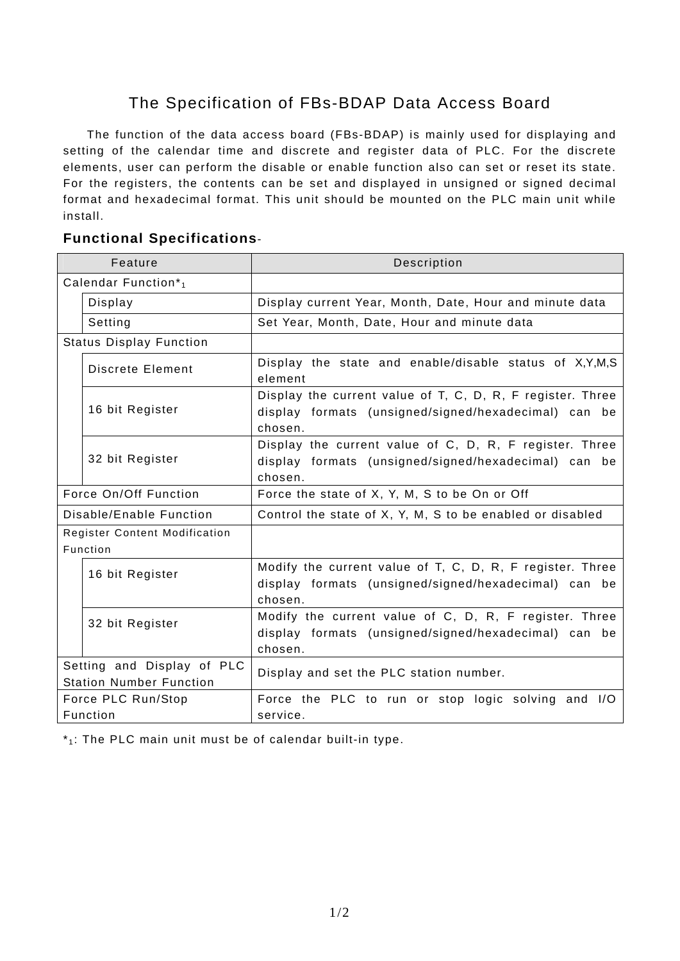## The Specification of FBs-BDAP Data Access Board

 The function of the data access board (FBs-BDAP) is mainly used for displaying and setting of the calendar time and discrete and register data of PLC. For the discrete elements, user can perform the disable or enable function also can set or reset its state. For the registers, the contents can be set and displayed in unsigned or signed decimal format and hexadecimal format. This unit should be mounted on the PLC main unit while install.

## **Functional Specifications**-

| Feature                                                      |                         | Description                                                                                                                   |
|--------------------------------------------------------------|-------------------------|-------------------------------------------------------------------------------------------------------------------------------|
| Calendar Function*1                                          |                         |                                                                                                                               |
|                                                              | Display                 | Display current Year, Month, Date, Hour and minute data                                                                       |
|                                                              | Setting                 | Set Year, Month, Date, Hour and minute data                                                                                   |
| <b>Status Display Function</b>                               |                         |                                                                                                                               |
|                                                              | <b>Discrete Element</b> | Display the state and enable/disable status of X,Y,M,S<br>element                                                             |
|                                                              | 16 bit Register         | Display the current value of T, C, D, R, F register. Three<br>display formats (unsigned/signed/hexadecimal) can be<br>chosen. |
|                                                              | 32 bit Register         | Display the current value of C, D, R, F register. Three<br>display formats (unsigned/signed/hexadecimal) can be<br>chosen.    |
| Force On/Off Function                                        |                         | Force the state of X, Y, M, S to be On or Off                                                                                 |
| Disable/Enable Function                                      |                         | Control the state of X, Y, M, S to be enabled or disabled                                                                     |
| <b>Register Content Modification</b>                         |                         |                                                                                                                               |
| Function                                                     |                         |                                                                                                                               |
|                                                              | 16 bit Register         | Modify the current value of T, C, D, R, F register. Three<br>display formats (unsigned/signed/hexadecimal) can be<br>chosen.  |
|                                                              | 32 bit Register         | Modify the current value of C, D, R, F register. Three<br>display formats (unsigned/signed/hexadecimal) can be<br>chosen.     |
| Setting and Display of PLC<br><b>Station Number Function</b> |                         | Display and set the PLC station number.                                                                                       |
| Force PLC Run/Stop<br>Function                               |                         | Force the PLC to run or stop logic solving and I/O<br>service.                                                                |

 $*_1$ : The PLC main unit must be of calendar built-in type.